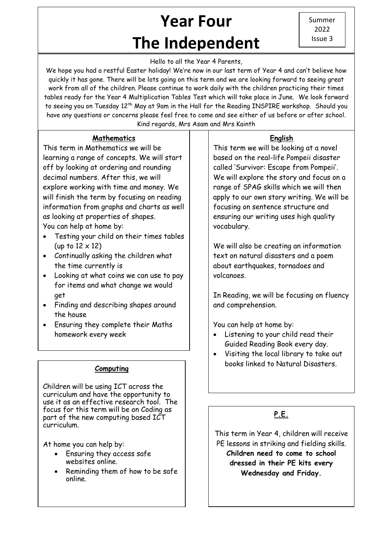# **Year Four The Independent**

Hello to all the Year 4 Parents,

 have any questions or concerns please feel free to come and see either of us before or after school. We hope you had a restful Easter holiday! We're now in our last term of Year 4 and can't believe how quickly it has gone. There will be lots going on this term and we are looking forward to seeing great work from all of the children. Please continue to work daily with the children practicing their times tables ready for the Year 4 Multiplication Tables Test which will take place in June. We look forward to seeing you on Tuesday 12<sup>th</sup> May at 9am in the Hall for the Reading INSPIRE workshop. Should you Kind regards, Mrs Asam and Mrs Kainth

### **Mathematics**

This term in Mathematics we will be learning a range of concepts. We will start off by looking at ordering and rounding decimal numbers. After this, we will explore working with time and money. We will finish the term by focusing on reading information from graphs and charts as well as looking at properties of shapes.

You can help at home by:

֦

- Testing your child on their times tables (up to  $12 \times 12$ )
- Continually asking the children what the time currently is
- Looking at what coins we can use to pay for items and what change we would get
- Finding and describing shapes around the house
- Ensuring they complete their Maths homework every week

#### **Computing**

Children will be using ICT across the curriculum and have the opportunity to use it as an effective research tool. The focus for this term will be on Coding as part of the new computing based ICT curriculum.

At home you can help by:

- Ensuring they access safe websites online.
- Reminding them of how to be safe online.

### **English**

This term we will be looking at a novel based on the real-life Pompeii disaster called 'Survivor: Escape from Pompeii'. We will explore the story and focus on a range of SPAG skills which we will then apply to our own story writing. We will be focusing on sentence structure and ensuring our writing uses high quality vocabulary.

We will also be creating an information text on natural disasters and a poem about earthquakes, tornadoes and volcanoes.

In Reading, we will be focusing on fluency and comprehension.

You can help at home by:

- Listening to your child read their Guided Reading Book every day.
- Visiting the local library to take out books linked to Natural Disasters.

## **P.E.**

This term in Year 4, children will receive PE lessons in striking and fielding skills. **Children need to come to school dressed in their PE kits every Wednesday and Friday.**